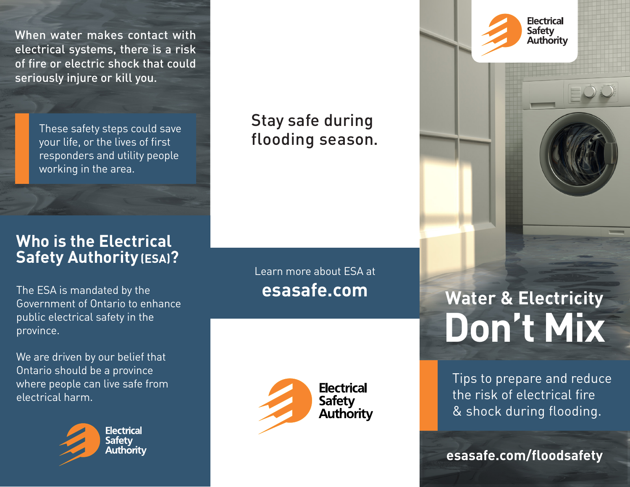When water makes contact with electrical systems, there is a risk of fire or electric shock that could seriously injure or kill you.

> These safety steps could save your life, or the lives of first responders and utility people working in the area.

#### **Who is the Electrical Safety Authority (ESA)?**

The ESA is mandated by the Government of Ontario to enhance public electrical safety in the province.

We are driven by our belief that Ontario should be a province where people can live safe from electrical harm.



**Electrical Safety** Authoritv Stay safe during flooding season.

Learn more about ESA at **esasafe.com**



**Water & Electricity Don't Mix** 

**Electrical** Safety **Authority** 

Tips to prepare and reduce the risk of electrical fire & shock during flooding.

**esasafe.com/floodsafety**